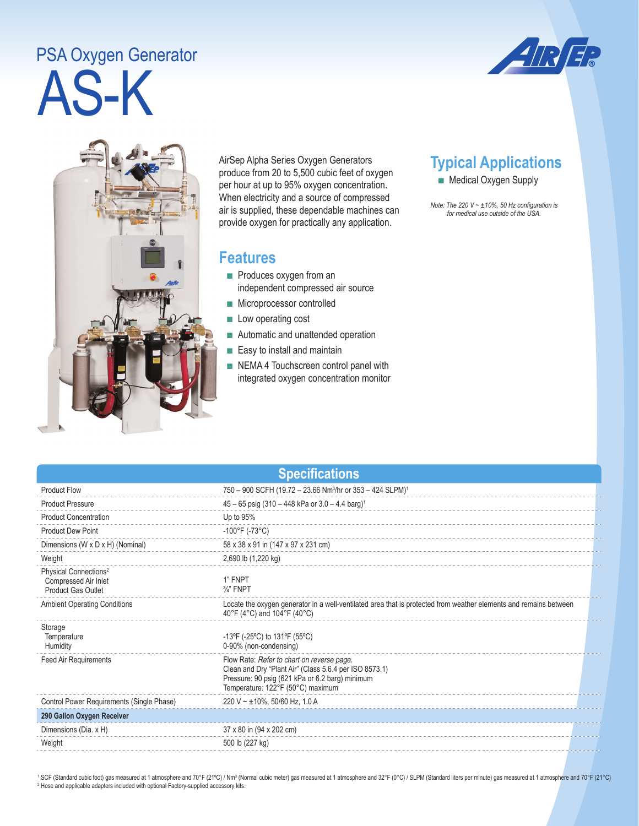## AS-K PSA Oxygen Generator





AirSep Alpha Series Oxygen Generators produce from 20 to 5,500 cubic feet of oxygen per hour at up to 95% oxygen concentration. When electricity and a source of compressed air is supplied, these dependable machines can provide oxygen for practically any application.

## **Features**

- Produces oxygen from an independent compressed air source
- Microprocessor controlled
- Low operating cost
- Automatic and unattended operation
- Easy to install and maintain
- NEMA 4 Touchscreen control panel with integrated oxygen concentration monitor

**Specifications**

## **Typical Applications**

■ Medical Oxygen Supply

*Note: The 220 V ~ ±10%, 50 Hz configuration is for medical use outside of the USA.* 

| <b>Product Flow</b>                                                                    | 750 - 900 SCFH (19.72 - 23.66 Nm <sup>3</sup> /hr or 353 - 424 SLPM) <sup>1</sup>                                                                                                            |  |
|----------------------------------------------------------------------------------------|----------------------------------------------------------------------------------------------------------------------------------------------------------------------------------------------|--|
| <b>Product Pressure</b>                                                                | $45 - 65$ psig (310 - 448 kPa or 3.0 - 4.4 barg) <sup>1</sup>                                                                                                                                |  |
| <b>Product Concentration</b>                                                           | Up to 95%                                                                                                                                                                                    |  |
| <b>Product Dew Point</b>                                                               | $-100^{\circ}$ F (-73°C)                                                                                                                                                                     |  |
| Dimensions (W x D x H) (Nominal)                                                       | 58 x 38 x 91 in (147 x 97 x 231 cm)                                                                                                                                                          |  |
| Weight                                                                                 | 2,690 lb (1,220 kg)                                                                                                                                                                          |  |
| Physical Connections <sup>2</sup><br>Compressed Air Inlet<br><b>Product Gas Outlet</b> | 1" FNPT<br>$\frac{3}{4}$ " FNPT                                                                                                                                                              |  |
| <b>Ambient Operating Conditions</b>                                                    | Locate the oxygen generator in a well-ventilated area that is protected from weather elements and remains between<br>40°F (4°C) and 104°F (40°C)                                             |  |
| Storage<br>Temperature<br>Humidity                                                     | -13°F (-25°C) to 131°F (55°C)<br>0-90% (non-condensing)                                                                                                                                      |  |
| <b>Feed Air Requirements</b>                                                           | Flow Rate: Refer to chart on reverse page.<br>Clean and Dry "Plant Air" (Class 5.6.4 per ISO 8573.1)<br>Pressure: 90 psig (621 kPa or 6.2 barg) minimum<br>Temperature: 122°F (50°C) maximum |  |
| Control Power Requirements (Single Phase)                                              | 220 V ~ $\pm$ 10%, 50/60 Hz, 1.0 A                                                                                                                                                           |  |
| 290 Gallon Oxygen Receiver                                                             |                                                                                                                                                                                              |  |
| Dimensions (Dia. x H)                                                                  | 37 x 80 in (94 x 202 cm)                                                                                                                                                                     |  |
| Weight                                                                                 | 500 lb (227 kg)                                                                                                                                                                              |  |
|                                                                                        |                                                                                                                                                                                              |  |

<sup>1</sup> SCF (Standard cubic foot) gas measured at 1 atmosphere and 70°F (21°C) / Nm<sup>3</sup> (Normal cubic meter) gas measured at 1 atmosphere and 32°F (0°C) / SLPM (Standard liters per minute) gas measured at 1 atmosphere and 70°F <sup>2</sup> Hose and applicable adapters included with optional Factory-supplied accessory kits.